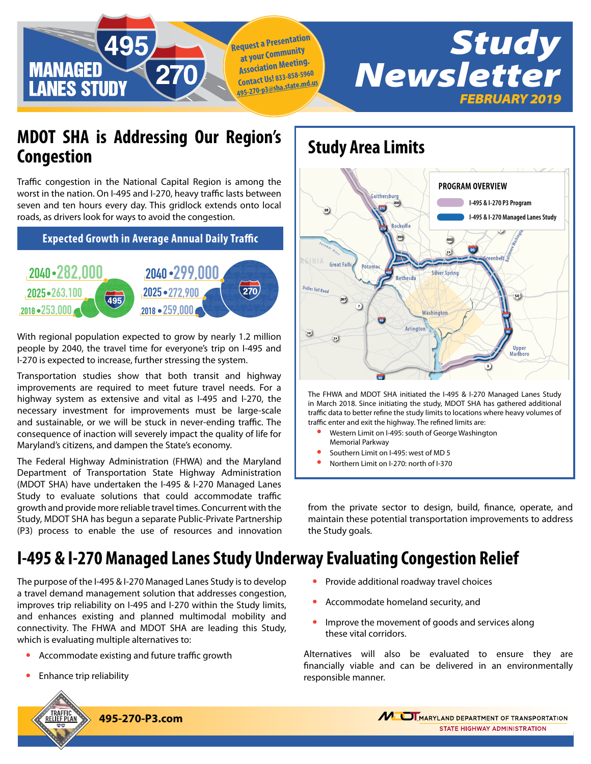**Request a Presentation at your Community Association Meeting. Contact Us! 833-858-5960 495-270-p3@sha.state.md.us**

### **MDOT SHA is Addressing Our Region's Congestion**

495

**MANAGED** 

**LANES STUDY** 

Traffic congestion in the National Capital Region is among the worst in the nation. On I-495 and I-270, heavy traffic lasts between seven and ten hours every day. This gridlock extends onto local roads, as drivers look for ways to avoid the congestion.



With regional population expected to grow by nearly 1.2 million people by 2040, the travel time for everyone's trip on I-495 and I-270 is expected to increase, further stressing the system.

Transportation studies show that both transit and highway improvements are required to meet future travel needs. For a highway system as extensive and vital as I-495 and I-270, the necessary investment for improvements must be large-scale and sustainable, or we will be stuck in never-ending traffic. The consequence of inaction will severely impact the quality of life for Maryland's citizens, and dampen the State's economy.

The Federal Highway Administration (FHWA) and the Maryland Department of Transportation State Highway Administration (MDOT SHA) have undertaken the I-495 & I-270 Managed Lanes Study to evaluate solutions that could accommodate traffic growth and provide more reliable travel times. Concurrent with the Study, MDOT SHA has begun a separate Public-Private Partnership (P3) process to enable the use of resources and innovation

### **Study Area Limits**



Study<br>Newsletter

*FEBRUARY 2019* 

**I-495 & I-270 Managed Lanes Study**

in March 2018. Since initiating the study, MDOT SHA has gathered additional traffic data to better refine the study limits to locations where heavy volumes of traffic enter and exit the highway. The refined limits are:

- Western Limit on I-495: south of George Washington Memorial Parkway
- Southern Limit on I-495: west of MD 5
- Northern Limit on I-270: north of I-370

from the private sector to design, build, finance, operate, and maintain these potential transportation improvements to address the Study goals.

## **I-495 & I-270 Managed Lanes Study Underway Evaluating Congestion Relief**

The purpose of the I-495 & I-270 Managed Lanes Study is to develop a travel demand management solution that addresses congestion, improves trip reliability on I-495 and I-270 within the Study limits, and enhances existing and planned multimodal mobility and connectivity. The FHWA and MDOT SHA are leading this Study, which is evaluating multiple alternatives to:

- Accommodate existing and future traffic growth
- Enhance trip reliability



- Provide additional roadway travel choices
- Accommodate homeland security, and
- Improve the movement of goods and services along these vital corridors.

Alternatives will also be evaluated to ensure they are financially viable and can be delivered in an environmentally responsible manner.

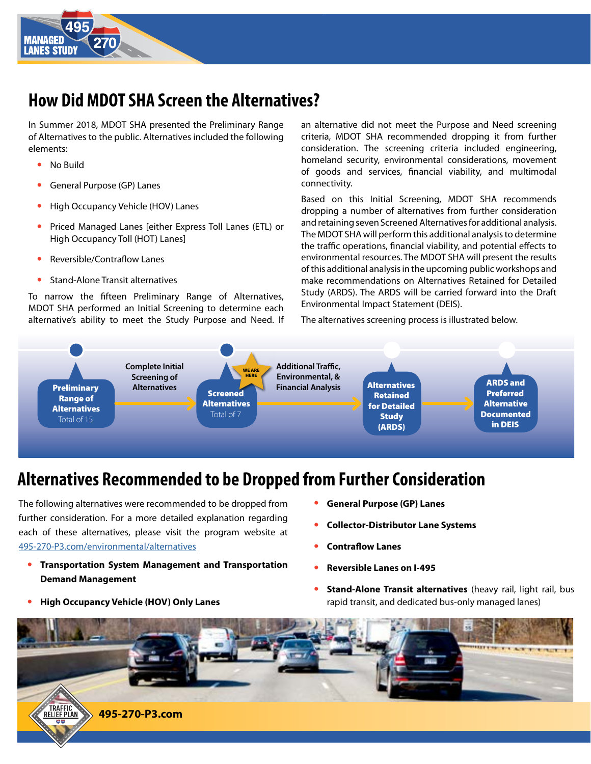

### **How Did MDOT SHA Screen the Alternatives?**

In Summer 2018, MDOT SHA presented the Preliminary Range of Alternatives to the public. Alternatives included the following elements:

- No Build
- General Purpose (GP) Lanes
- High Occupancy Vehicle (HOV) Lanes
- Priced Managed Lanes [either Express Toll Lanes (ETL) or High Occupancy Toll (HOT) Lanes]
- Reversible/Contraflow Lanes
- Stand-Alone Transit alternatives

To narrow the fifteen Preliminary Range of Alternatives, MDOT SHA performed an Initial Screening to determine each alternative's ability to meet the Study Purpose and Need. If an alternative did not meet the Purpose and Need screening criteria, MDOT SHA recommended dropping it from further consideration. The screening criteria included engineering, homeland security, environmental considerations, movement of goods and services, financial viability, and multimodal connectivity.

Based on this Initial Screening, MDOT SHA recommends dropping a number of alternatives from further consideration and retaining seven Screened Alternatives for additional analysis. The MDOT SHA will perform this additional analysis to determine the traffic operations, financial viability, and potential effects to environmental resources. The MDOT SHA will present the results of this additional analysis in the upcoming public workshops and make recommendations on Alternatives Retained for Detailed Study (ARDS). The ARDS will be carried forward into the Draft Environmental Impact Statement (DEIS).

The alternatives screening process is illustrated below.



### **Alternatives Recommended to be Dropped from Further Consideration**

The following alternatives were recommended to be dropped from further consideration. For a more detailed explanation regarding each of these alternatives, please visit the program website at [495-270-P3.com/environmental/alternatives](http://495-270-P3.com/environmental/alternatives)

- **Transportation System Management and Transportation Demand Management**
- **High Occupancy Vehicle (HOV) Only Lanes**
- **General Purpose (GP) Lanes**
- **Collector-Distributor Lane Systems**
- **Contraflow Lanes**
- **Reversible Lanes on I-495**
- **Stand-Alone Transit alternatives** (heavy rail, light rail, bus rapid transit, and dedicated bus-only managed lanes)

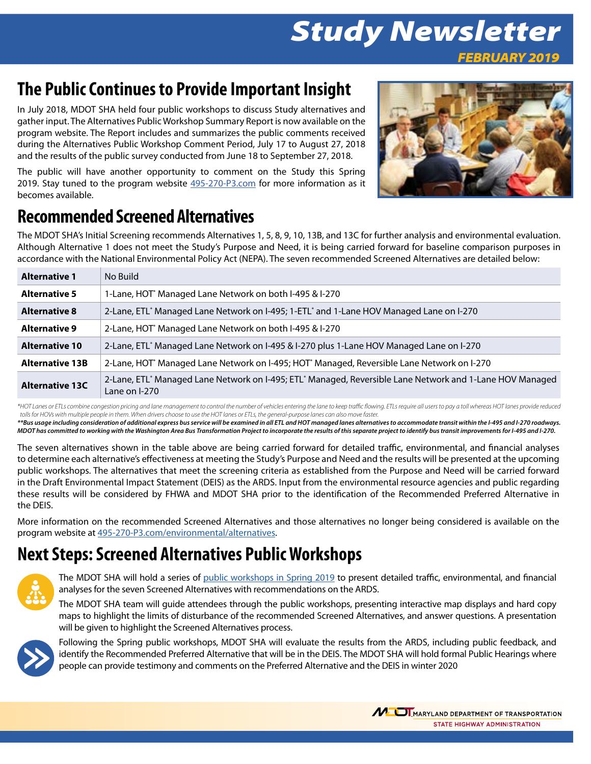# **Study Newsletter**

*FEBRUARY 2019*

### **The Public Continues to Provide Important Insight**

In July 2018, MDOT SHA held four public workshops to discuss Study alternatives and gather input. The Alternatives Public Workshop Summary Report is now available on the program website. The Report includes and summarizes the public comments received during the Alternatives Public Workshop Comment Period, July 17 to August 27, 2018 and the results of the public survey conducted from June 18 to September 27, 2018.

The public will have another opportunity to comment on the Study this Spring 2019. Stay tuned to the program website 495-270-P3.com for more information as it becomes available.



### **Recommended Screened Alternatives**

The MDOT SHA's Initial Screening recommends Alternatives 1, 5, 8, 9, 10, 13B, and 13C for further analysis and environmental evaluation. Although Alternative 1 does not meet the Study's Purpose and Need, it is being carried forward for baseline comparison purposes in accordance with the National Environmental Policy Act (NEPA). The seven recommended Screened Alternatives are detailed below:

| <b>Alternative 1</b>   | No Build                                                                                                                  |
|------------------------|---------------------------------------------------------------------------------------------------------------------------|
| <b>Alternative 5</b>   | 1-Lane, HOT* Managed Lane Network on both I-495 & I-270                                                                   |
| <b>Alternative 8</b>   | 2-Lane, ETL* Managed Lane Network on I-495; 1-ETL* and 1-Lane HOV Managed Lane on I-270                                   |
| <b>Alternative 9</b>   | 2-Lane, HOT* Managed Lane Network on both I-495 & I-270                                                                   |
| <b>Alternative 10</b>  | 2-Lane, ETL* Managed Lane Network on I-495 & I-270 plus 1-Lane HOV Managed Lane on I-270                                  |
| <b>Alternative 13B</b> | 2-Lane, HOT* Managed Lane Network on I-495; HOT* Managed, Reversible Lane Network on I-270                                |
| <b>Alternative 13C</b> | 2-Lane, ETL* Managed Lane Network on I-495; ETL* Managed, Reversible Lane Network and 1-Lane HOV Managed<br>Lane on I-270 |

*\*HOT Lanes or ETLs combine congestion pricing and lane management to control the number of vehicles entering the lane to keep traffic flowing. ETLs require all users to pay a toll whereas HOT lanes provide reduced tolls for HOVs with multiple people in them. When drivers choose to use the HOT lanes or ETLs, the general-purpose lanes can also move faster.*

*\*\*Bus usage including consideration of additional express bus service will be examined in all ETL and HOT managed lanes alternatives to accommodate transit within the I-495 and I-270 roadways. MDOT has committed to working with the Washington Area Bus Transformation Project to incorporate the results of this separate project to identify bus transit improvements for I-495 and I-270.*

The seven alternatives shown in the table above are being carried forward for detailed traffic, environmental, and financial analyses to determine each alternative's effectiveness at meeting the Study's Purpose and Need and the results will be presented at the upcoming public workshops. The alternatives that meet the screening criteria as established from the Purpose and Need will be carried forward in the Draft Environmental Impact Statement (DEIS) as the ARDS. Input from the environmental resource agencies and public regarding these results will be considered by FHWA and MDOT SHA prior to the identification of the Recommended Preferred Alternative in the DEIS.

More information on the recommended Screened Alternatives and those alternatives no longer being considered is available on the program website at [495-270-P3.com/environmental/alternatives](http://495-270-P3.com/environmental/alternatives).

### **Next Steps: Screened Alternatives Public Workshops**



The MDOT SHA will hold a series of [public workshops in Spring 2019](http://495-270-p3.com/your-participation/upcoming-events/) to present detailed traffic, environmental, and financial analyses for the seven Screened Alternatives with recommendations on the ARDS.

The MDOT SHA team will guide attendees through the public workshops, presenting interactive map displays and hard copy maps to highlight the limits of disturbance of the recommended Screened Alternatives, and answer questions. A presentation will be given to highlight the Screened Alternatives process.



Following the Spring public workshops, MDOT SHA will evaluate the results from the ARDS, including public feedback, and identify the Recommended Preferred Alternative that will be in the DEIS. The MDOT SHA will hold formal Public Hearings where people can provide testimony and comments on the Preferred Alternative and the DEIS in winter 2020